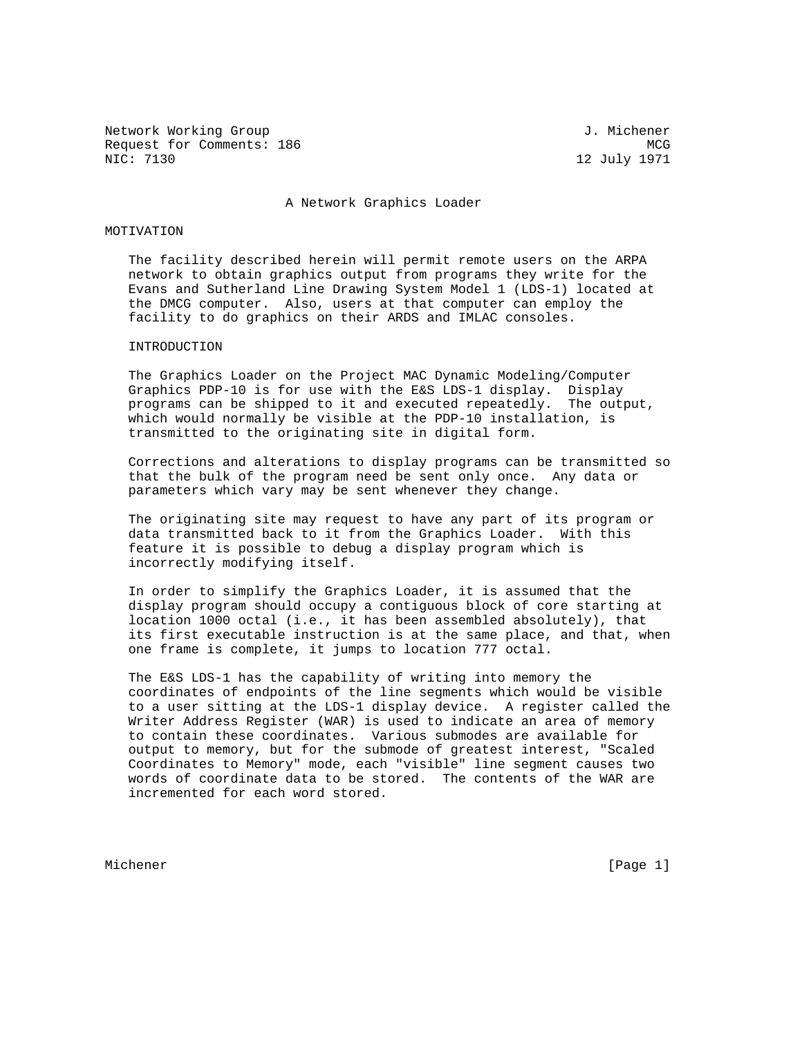Network Working Group 3. Network J. Michener Request for Comments: 186 MCG NIC: 7130 MCG NIC: 7130

12 July 1971

#### A Network Graphics Loader

## MOTIVATION

 The facility described herein will permit remote users on the ARPA network to obtain graphics output from programs they write for the Evans and Sutherland Line Drawing System Model 1 (LDS-1) located at the DMCG computer. Also, users at that computer can employ the facility to do graphics on their ARDS and IMLAC consoles.

# INTRODUCTION

 The Graphics Loader on the Project MAC Dynamic Modeling/Computer Graphics PDP-10 is for use with the E&S LDS-1 display. Display programs can be shipped to it and executed repeatedly. The output, which would normally be visible at the PDP-10 installation, is transmitted to the originating site in digital form.

 Corrections and alterations to display programs can be transmitted so that the bulk of the program need be sent only once. Any data or parameters which vary may be sent whenever they change.

 The originating site may request to have any part of its program or data transmitted back to it from the Graphics Loader. With this feature it is possible to debug a display program which is incorrectly modifying itself.

 In order to simplify the Graphics Loader, it is assumed that the display program should occupy a contiguous block of core starting at location 1000 octal (i.e., it has been assembled absolutely), that its first executable instruction is at the same place, and that, when one frame is complete, it jumps to location 777 octal.

 The E&S LDS-1 has the capability of writing into memory the coordinates of endpoints of the line segments which would be visible to a user sitting at the LDS-1 display device. A register called the Writer Address Register (WAR) is used to indicate an area of memory to contain these coordinates. Various submodes are available for output to memory, but for the submode of greatest interest, "Scaled Coordinates to Memory" mode, each "visible" line segment causes two words of coordinate data to be stored. The contents of the WAR are incremented for each word stored.

Michener [Page 1]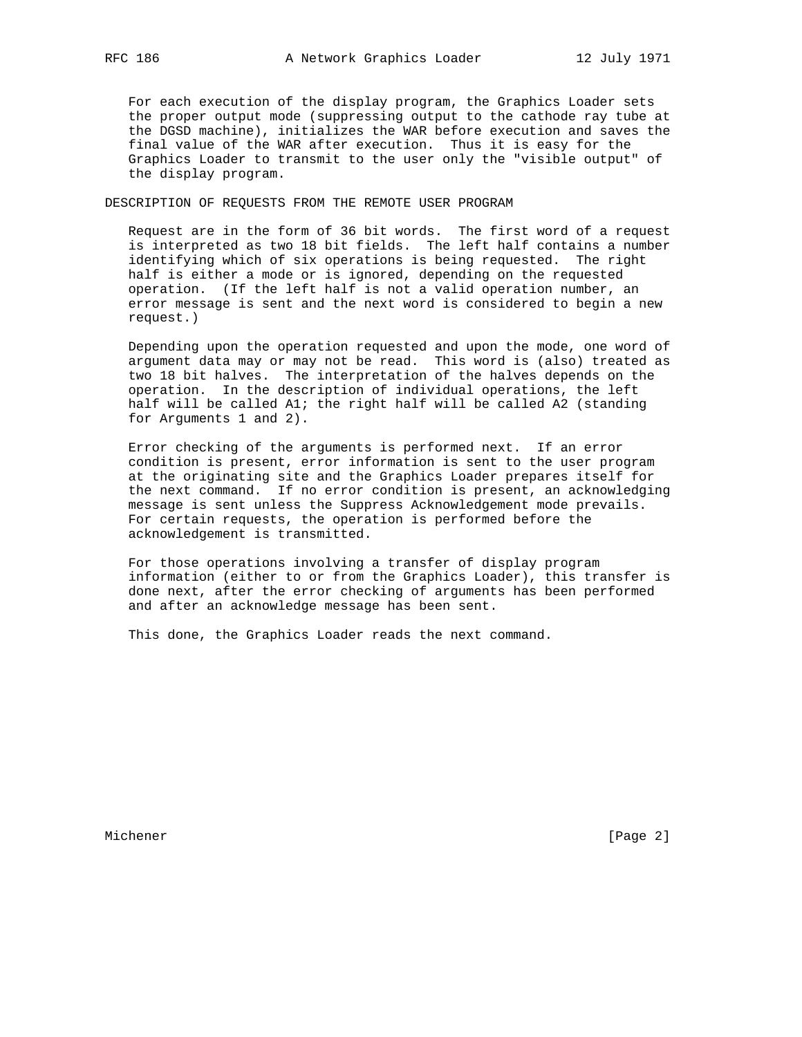For each execution of the display program, the Graphics Loader sets the proper output mode (suppressing output to the cathode ray tube at the DGSD machine), initializes the WAR before execution and saves the final value of the WAR after execution. Thus it is easy for the Graphics Loader to transmit to the user only the "visible output" of the display program.

DESCRIPTION OF REQUESTS FROM THE REMOTE USER PROGRAM

 Request are in the form of 36 bit words. The first word of a request is interpreted as two 18 bit fields. The left half contains a number identifying which of six operations is being requested. The right half is either a mode or is ignored, depending on the requested operation. (If the left half is not a valid operation number, an error message is sent and the next word is considered to begin a new request.)

 Depending upon the operation requested and upon the mode, one word of argument data may or may not be read. This word is (also) treated as two 18 bit halves. The interpretation of the halves depends on the operation. In the description of individual operations, the left half will be called A1; the right half will be called A2 (standing for Arguments 1 and 2).

 Error checking of the arguments is performed next. If an error condition is present, error information is sent to the user program at the originating site and the Graphics Loader prepares itself for the next command. If no error condition is present, an acknowledging message is sent unless the Suppress Acknowledgement mode prevails. For certain requests, the operation is performed before the acknowledgement is transmitted.

 For those operations involving a transfer of display program information (either to or from the Graphics Loader), this transfer is done next, after the error checking of arguments has been performed and after an acknowledge message has been sent.

This done, the Graphics Loader reads the next command.

Michener [Page 2]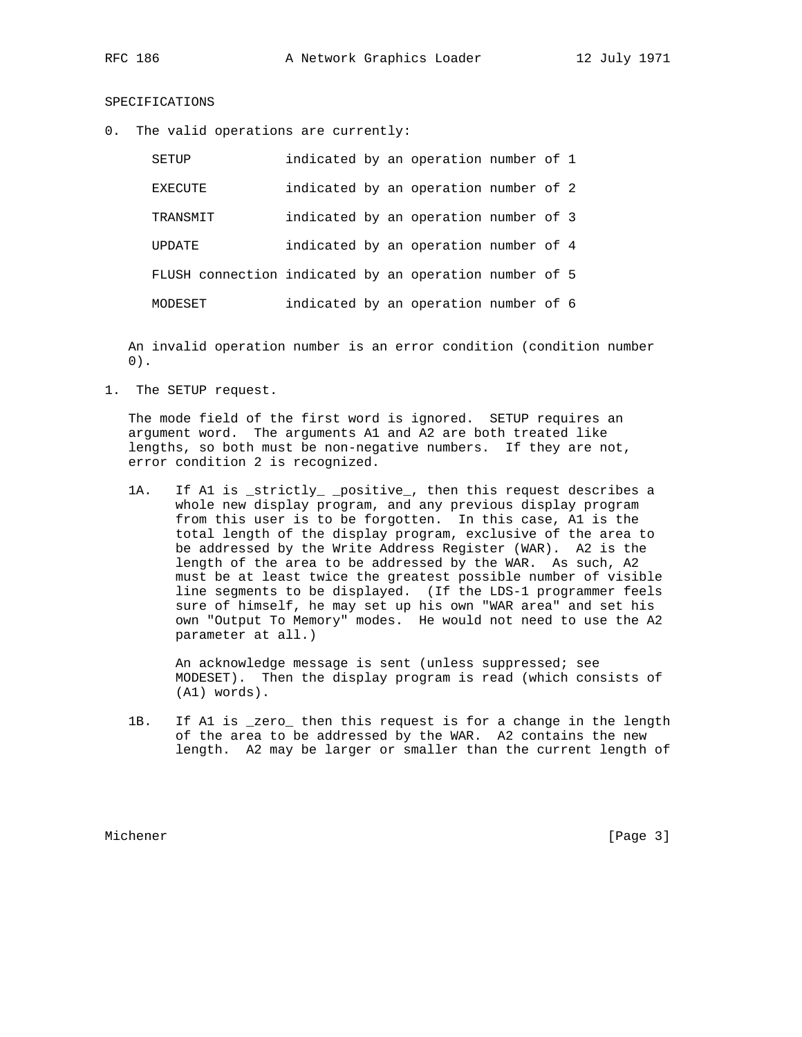# SPECIFICATIONS

0. The valid operations are currently:

| SETUP                                                  |  | indicated by an operation number of 1 |  |  |
|--------------------------------------------------------|--|---------------------------------------|--|--|
| EXECUTE                                                |  | indicated by an operation number of 2 |  |  |
| TRANSMIT                                               |  | indicated by an operation number of 3 |  |  |
| UPDATE                                                 |  | indicated by an operation number of 4 |  |  |
| FLUSH connection indicated by an operation number of 5 |  |                                       |  |  |
| MODESET                                                |  | indicated by an operation number of 6 |  |  |

 An invalid operation number is an error condition (condition number 0).

1. The SETUP request.

 The mode field of the first word is ignored. SETUP requires an argument word. The arguments A1 and A2 are both treated like lengths, so both must be non-negative numbers. If they are not, error condition 2 is recognized.

1A. If Al is \_strictly\_ \_positive\_, then this request describes a whole new display program, and any previous display program from this user is to be forgotten. In this case, A1 is the total length of the display program, exclusive of the area to be addressed by the Write Address Register (WAR). A2 is the length of the area to be addressed by the WAR. As such, A2 must be at least twice the greatest possible number of visible line segments to be displayed. (If the LDS-1 programmer feels sure of himself, he may set up his own "WAR area" and set his own "Output To Memory" modes. He would not need to use the A2 parameter at all.)

 An acknowledge message is sent (unless suppressed; see MODESET). Then the display program is read (which consists of (A1) words).

 1B. If A1 is \_zero\_ then this request is for a change in the length of the area to be addressed by the WAR. A2 contains the new length. A2 may be larger or smaller than the current length of

Michener [Page 3]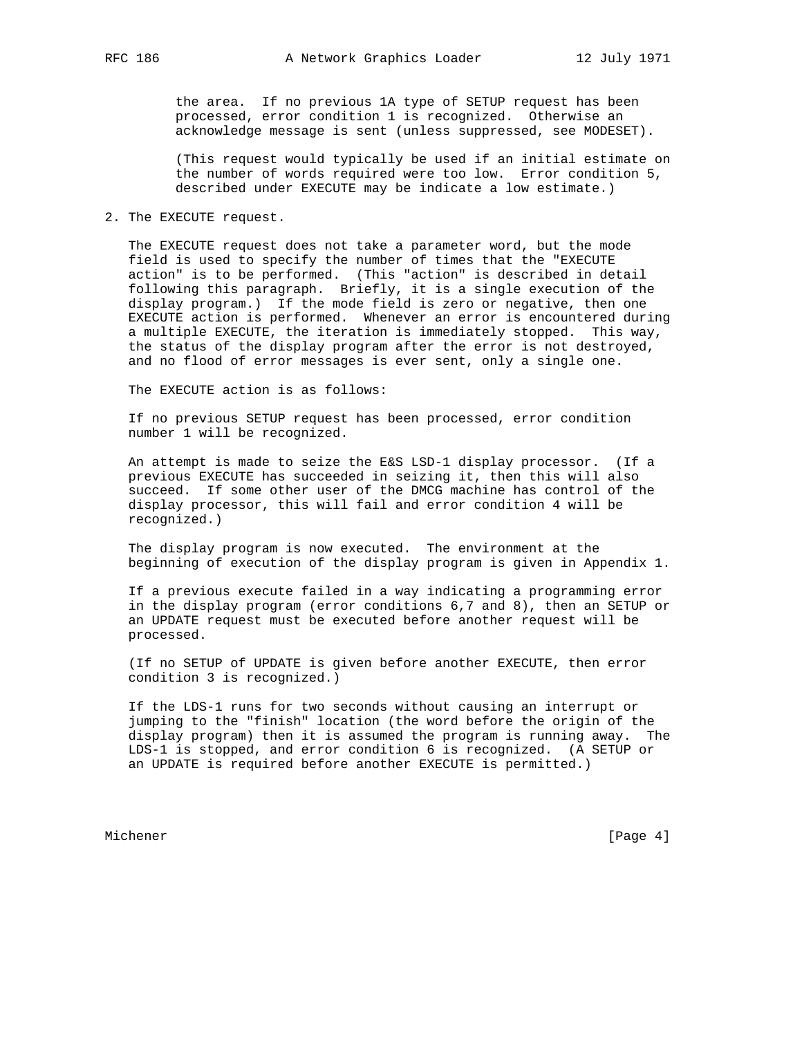the area. If no previous 1A type of SETUP request has been processed, error condition 1 is recognized. Otherwise an acknowledge message is sent (unless suppressed, see MODESET).

 (This request would typically be used if an initial estimate on the number of words required were too low. Error condition 5, described under EXECUTE may be indicate a low estimate.)

## 2. The EXECUTE request.

 The EXECUTE request does not take a parameter word, but the mode field is used to specify the number of times that the "EXECUTE action" is to be performed. (This "action" is described in detail following this paragraph. Briefly, it is a single execution of the display program.) If the mode field is zero or negative, then one EXECUTE action is performed. Whenever an error is encountered during a multiple EXECUTE, the iteration is immediately stopped. This way, the status of the display program after the error is not destroyed, and no flood of error messages is ever sent, only a single one.

The EXECUTE action is as follows:

 If no previous SETUP request has been processed, error condition number 1 will be recognized.

 An attempt is made to seize the E&S LSD-1 display processor. (If a previous EXECUTE has succeeded in seizing it, then this will also succeed. If some other user of the DMCG machine has control of the display processor, this will fail and error condition 4 will be recognized.)

 The display program is now executed. The environment at the beginning of execution of the display program is given in Appendix 1.

 If a previous execute failed in a way indicating a programming error in the display program (error conditions 6,7 and 8), then an SETUP or an UPDATE request must be executed before another request will be processed.

 (If no SETUP of UPDATE is given before another EXECUTE, then error condition 3 is recognized.)

 If the LDS-1 runs for two seconds without causing an interrupt or jumping to the "finish" location (the word before the origin of the display program) then it is assumed the program is running away. The LDS-1 is stopped, and error condition 6 is recognized. (A SETUP or an UPDATE is required before another EXECUTE is permitted.)

Michener [Page 4]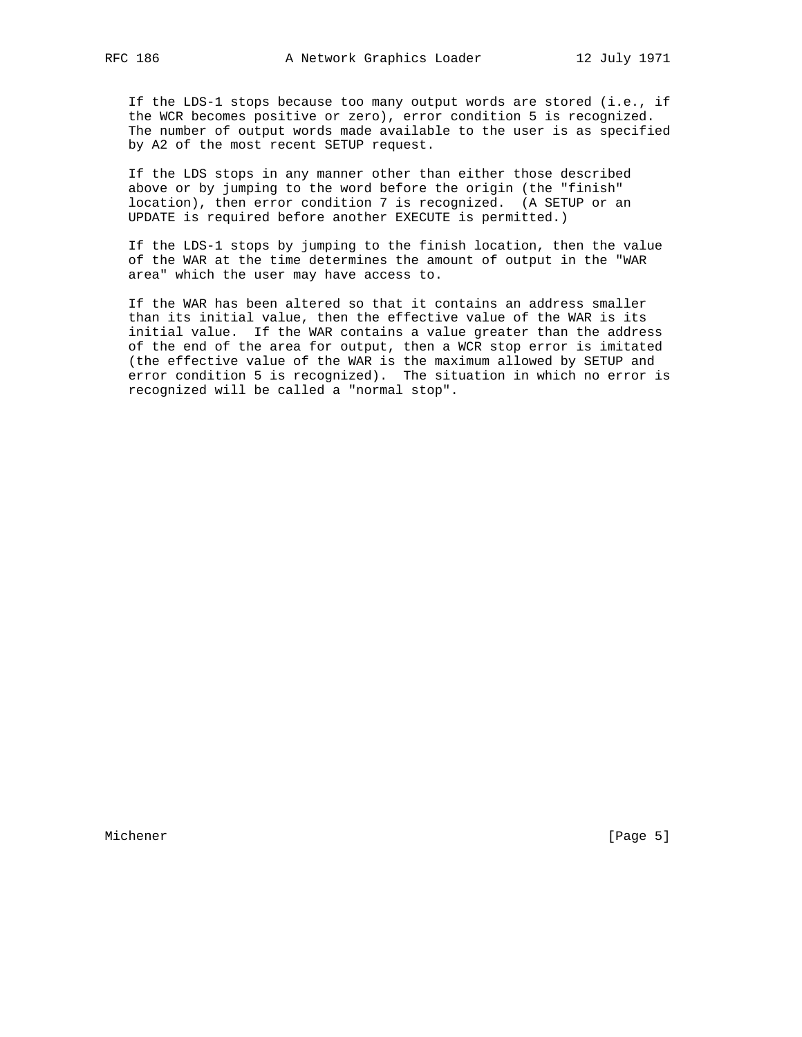If the LDS-1 stops because too many output words are stored (i.e., if the WCR becomes positive or zero), error condition 5 is recognized. The number of output words made available to the user is as specified by A2 of the most recent SETUP request.

 If the LDS stops in any manner other than either those described above or by jumping to the word before the origin (the "finish" location), then error condition 7 is recognized. (A SETUP or an UPDATE is required before another EXECUTE is permitted.)

 If the LDS-1 stops by jumping to the finish location, then the value of the WAR at the time determines the amount of output in the "WAR area" which the user may have access to.

 If the WAR has been altered so that it contains an address smaller than its initial value, then the effective value of the WAR is its initial value. If the WAR contains a value greater than the address of the end of the area for output, then a WCR stop error is imitated (the effective value of the WAR is the maximum allowed by SETUP and error condition 5 is recognized). The situation in which no error is recognized will be called a "normal stop".

Michener [Page 5]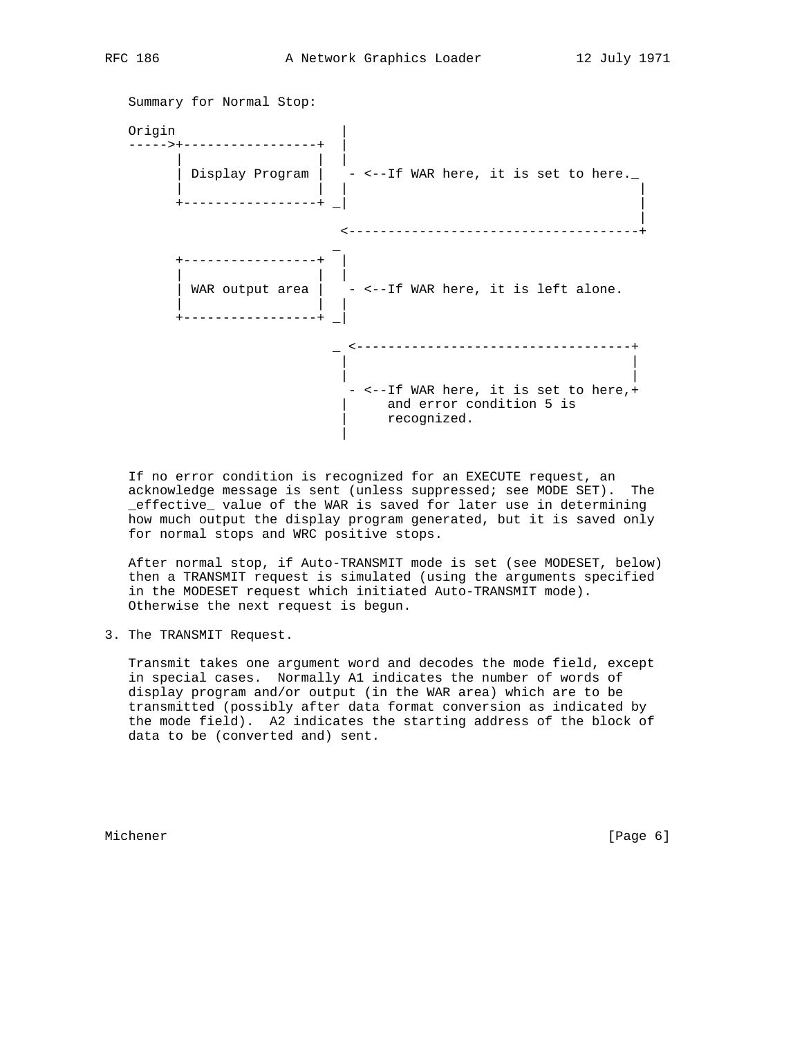

 If no error condition is recognized for an EXECUTE request, an acknowledge message is sent (unless suppressed; see MODE SET). The \_effective\_ value of the WAR is saved for later use in determining how much output the display program generated, but it is saved only for normal stops and WRC positive stops.

 After normal stop, if Auto-TRANSMIT mode is set (see MODESET, below) then a TRANSMIT request is simulated (using the arguments specified in the MODESET request which initiated Auto-TRANSMIT mode). Otherwise the next request is begun.

3. The TRANSMIT Request.

 Transmit takes one argument word and decodes the mode field, except in special cases. Normally A1 indicates the number of words of display program and/or output (in the WAR area) which are to be transmitted (possibly after data format conversion as indicated by the mode field). A2 indicates the starting address of the block of data to be (converted and) sent.

Michener [Page 6]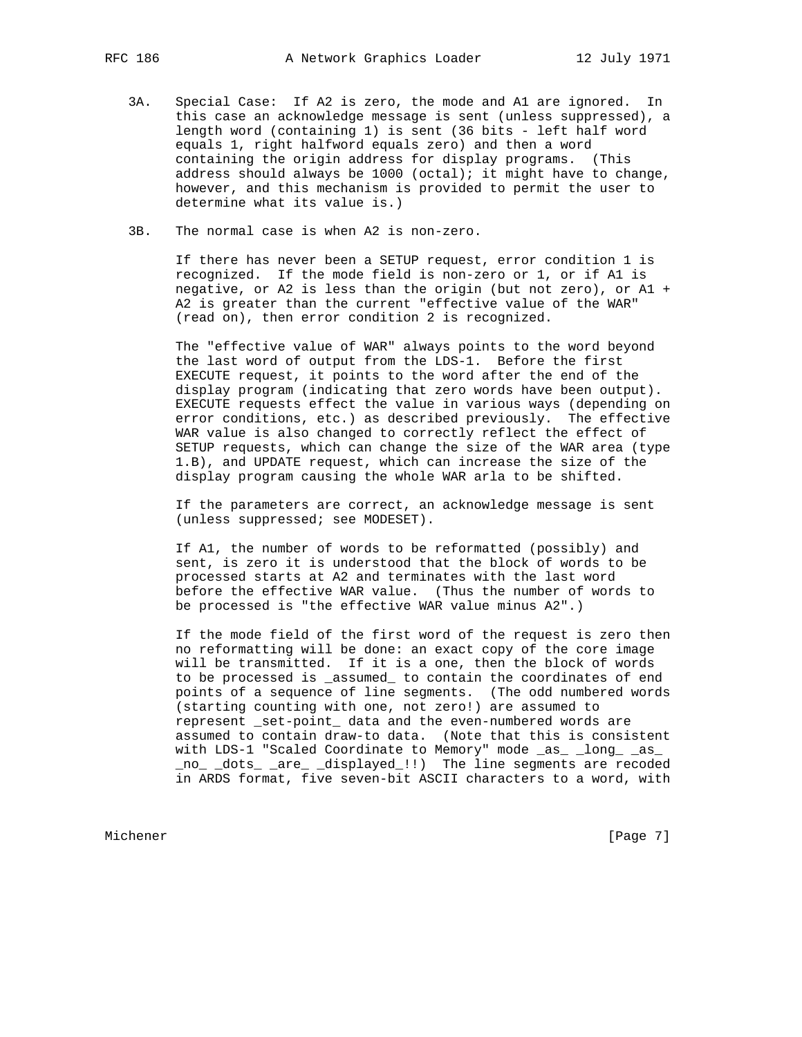- 3A. Special Case: If A2 is zero, the mode and A1 are ignored. In this case an acknowledge message is sent (unless suppressed), a length word (containing 1) is sent (36 bits - left half word equals 1, right halfword equals zero) and then a word containing the origin address for display programs. (This address should always be  $1000$  (octal); it might have to change, however, and this mechanism is provided to permit the user to determine what its value is.)
- 3B. The normal case is when A2 is non-zero.

 If there has never been a SETUP request, error condition 1 is recognized. If the mode field is non-zero or 1, or if A1 is negative, or A2 is less than the origin (but not zero), or A1 + A2 is greater than the current "effective value of the WAR" (read on), then error condition 2 is recognized.

 The "effective value of WAR" always points to the word beyond the last word of output from the LDS-1. Before the first EXECUTE request, it points to the word after the end of the display program (indicating that zero words have been output). EXECUTE requests effect the value in various ways (depending on error conditions, etc.) as described previously. The effective WAR value is also changed to correctly reflect the effect of SETUP requests, which can change the size of the WAR area (type 1.B), and UPDATE request, which can increase the size of the display program causing the whole WAR arla to be shifted.

 If the parameters are correct, an acknowledge message is sent (unless suppressed; see MODESET).

 If A1, the number of words to be reformatted (possibly) and sent, is zero it is understood that the block of words to be processed starts at A2 and terminates with the last word before the effective WAR value. (Thus the number of words to be processed is "the effective WAR value minus A2".)

 If the mode field of the first word of the request is zero then no reformatting will be done: an exact copy of the core image will be transmitted. If it is a one, then the block of words to be processed is \_assumed\_ to contain the coordinates of end points of a sequence of line segments. (The odd numbered words (starting counting with one, not zero!) are assumed to represent \_set-point\_ data and the even-numbered words are assumed to contain draw-to data. (Note that this is consistent with LDS-1 "Scaled Coordinate to Memory" mode \_as\_ \_long\_ \_as\_ \_no\_ \_dots\_ \_are\_ \_displayed\_!!) The line segments are recoded in ARDS format, five seven-bit ASCII characters to a word, with

Michener [Page 7] [Page 7]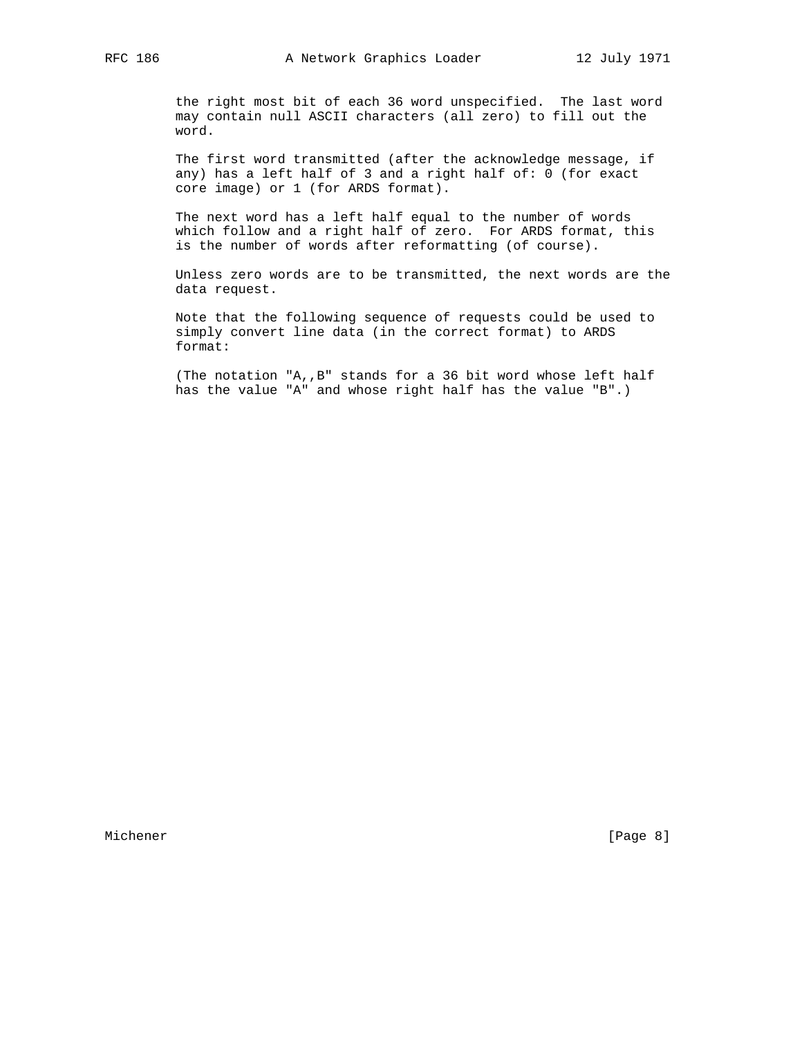the right most bit of each 36 word unspecified. The last word may contain null ASCII characters (all zero) to fill out the word.

 The first word transmitted (after the acknowledge message, if any) has a left half of 3 and a right half of: 0 (for exact core image) or 1 (for ARDS format).

 The next word has a left half equal to the number of words which follow and a right half of zero. For ARDS format, this is the number of words after reformatting (of course).

 Unless zero words are to be transmitted, the next words are the data request.

 Note that the following sequence of requests could be used to simply convert line data (in the correct format) to ARDS format:

 (The notation "A,,B" stands for a 36 bit word whose left half has the value "A" and whose right half has the value "B".)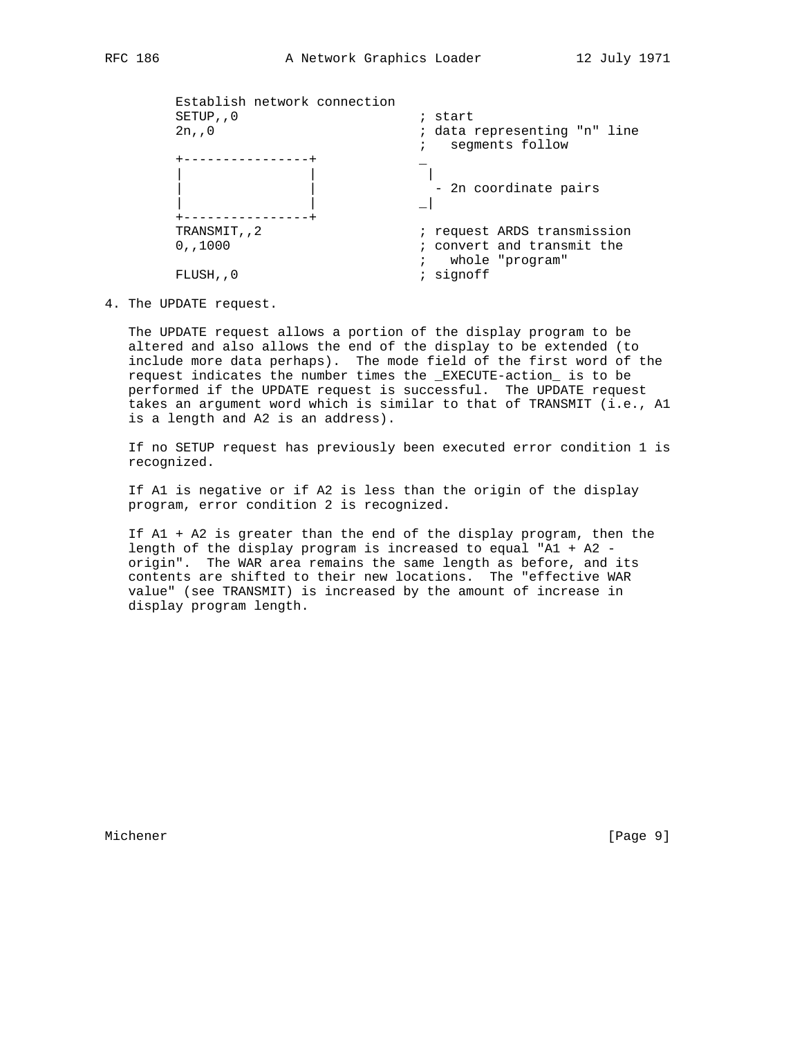| Establish network connection<br>SETUP, 0 | ; start                                                       |
|------------------------------------------|---------------------------------------------------------------|
| 2n, 0                                    | ; data representing "n" line<br>segments follow<br>$\ddot{i}$ |
|                                          |                                                               |
|                                          |                                                               |
|                                          | - 2n coordinate pairs                                         |
|                                          |                                                               |
|                                          |                                                               |
| TRANSMIT, 2                              | ; request ARDS transmission                                   |
| 0, 1000                                  | ; convert and transmit the                                    |
|                                          | whole "program"                                               |
| FLUSH, , 0                               | signoff                                                       |
|                                          |                                                               |

4. The UPDATE request.

 The UPDATE request allows a portion of the display program to be altered and also allows the end of the display to be extended (to include more data perhaps). The mode field of the first word of the request indicates the number times the \_EXECUTE-action\_ is to be performed if the UPDATE request is successful. The UPDATE request takes an argument word which is similar to that of TRANSMIT (i.e., A1 is a length and A2 is an address).

 If no SETUP request has previously been executed error condition 1 is recognized.

 If A1 is negative or if A2 is less than the origin of the display program, error condition 2 is recognized.

 If A1 + A2 is greater than the end of the display program, then the length of the display program is increased to equal "A1 + A2 origin". The WAR area remains the same length as before, and its contents are shifted to their new locations. The "effective WAR value" (see TRANSMIT) is increased by the amount of increase in display program length.

Michener [Page 9]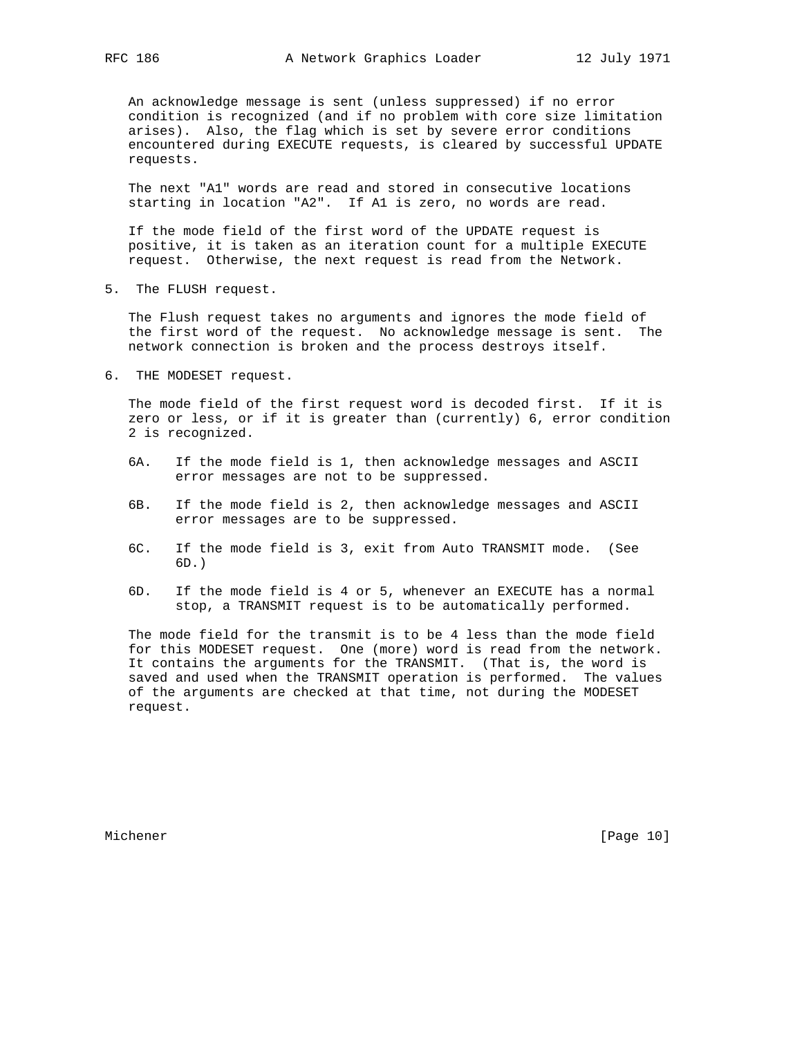An acknowledge message is sent (unless suppressed) if no error condition is recognized (and if no problem with core size limitation arises). Also, the flag which is set by severe error conditions encountered during EXECUTE requests, is cleared by successful UPDATE requests.

 The next "A1" words are read and stored in consecutive locations starting in location "A2". If A1 is zero, no words are read.

 If the mode field of the first word of the UPDATE request is positive, it is taken as an iteration count for a multiple EXECUTE request. Otherwise, the next request is read from the Network.

5. The FLUSH request.

 The Flush request takes no arguments and ignores the mode field of the first word of the request. No acknowledge message is sent. The network connection is broken and the process destroys itself.

6. THE MODESET request.

 The mode field of the first request word is decoded first. If it is zero or less, or if it is greater than (currently) 6, error condition 2 is recognized.

- 6A. If the mode field is 1, then acknowledge messages and ASCII error messages are not to be suppressed.
- 6B. If the mode field is 2, then acknowledge messages and ASCII error messages are to be suppressed.
- 6C. If the mode field is 3, exit from Auto TRANSMIT mode. (See 6D.)
- 6D. If the mode field is 4 or 5, whenever an EXECUTE has a normal stop, a TRANSMIT request is to be automatically performed.

 The mode field for the transmit is to be 4 less than the mode field for this MODESET request. One (more) word is read from the network. It contains the arguments for the TRANSMIT. (That is, the word is saved and used when the TRANSMIT operation is performed. The values of the arguments are checked at that time, not during the MODESET request.

Michener [Page 10]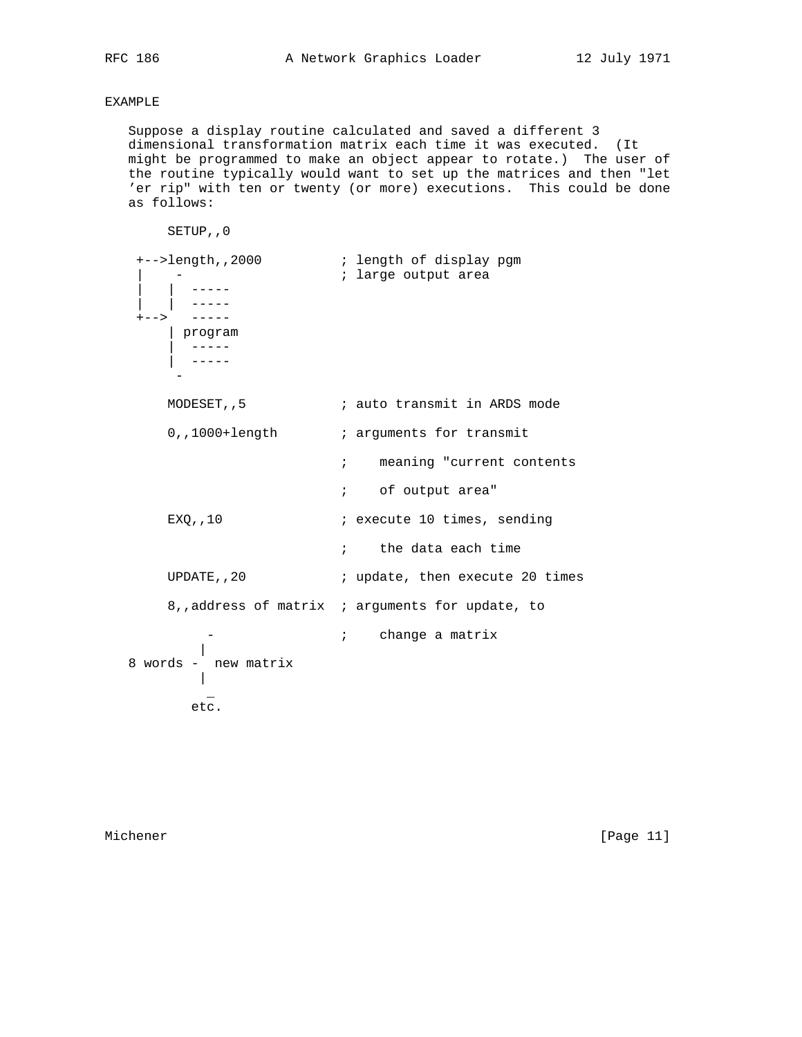# EXAMPLE

 Suppose a display routine calculated and saved a different 3 dimensional transformation matrix each time it was executed. (It might be programmed to make an object appear to rotate.) The user of the routine typically would want to set up the matrices and then "let 'er rip" with ten or twenty (or more) executions. This could be done as follows:

```
 SETUP,,0
 +-->length,,2000 ; length of display pgm
| - | contracts area and the set of i large output area
 | | -----
 | | -----
 +--> -----
           | program
           ----- | -----
- 1990 - 1990 - 1990 - 1990 - 1990 - 1990 - 1990 - 1990 - 1990 - 1990 - 1990 - 1990 - 1990 - 1990 - 1990 - 199
         MODESET, 5 \qquad \qquad ; auto transmit in ARDS mode
         0,,1000+length ; arguments for transmit
                                     ; meaning "current contents
                                      ; of output area"
         EXQ,,10 \qquad \qquad ; execute 10 times, sending
                                     ; the data each time
         UPDATE, , 20 \qquad \qquad ; update, then execute 20 times
           8,,address of matrix ; arguments for update, to
                           i change a matrix
             \blacksquare 8 words - new matrix
             \parallel\mathcal{L}=\mathcal{L}^{\mathcal{L}} , where \mathcal{L}^{\mathcal{L}}=\mathcal{L}^{\mathcal{L}} etc.
```
Michener [Page 11]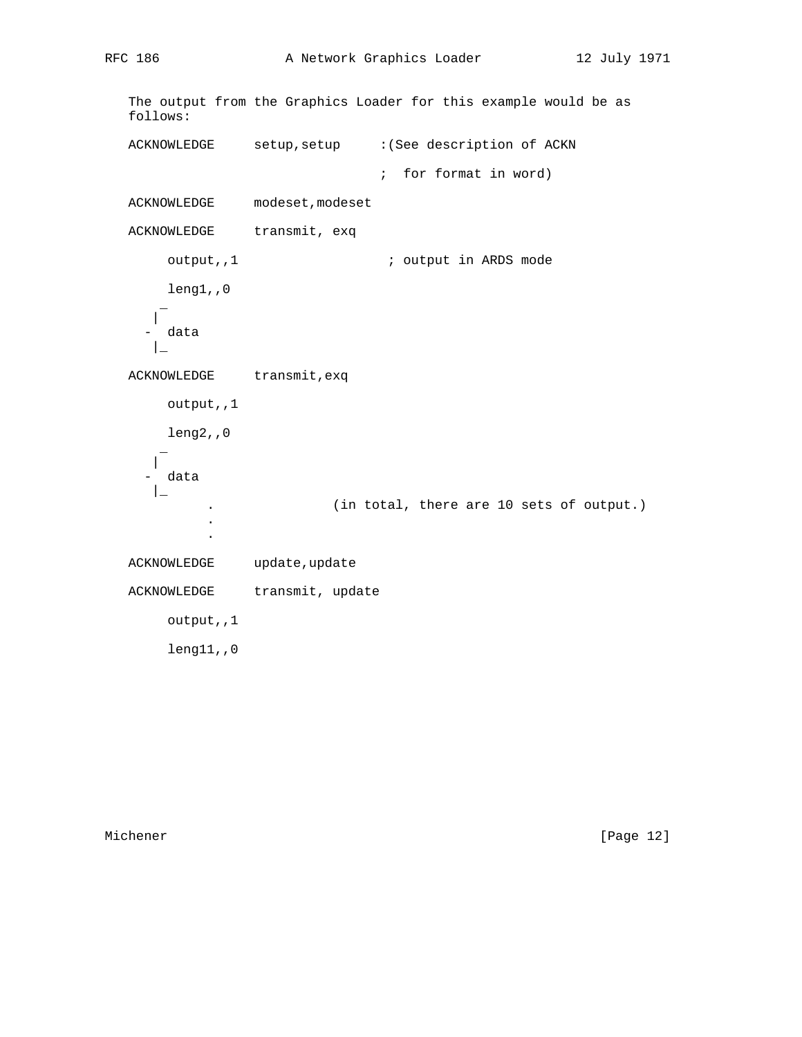```
 The output from the Graphics Loader for this example would be as
   follows:
   ACKNOWLEDGE setup,setup :(See description of ACKN
                             ; for format in word)
   ACKNOWLEDGE modeset,modeset
  ACKNOWLEDGE transmit, exq
     output,,1 \qquad \qquad ; output in ARDS mode
       leng1,,0
\sim |
       - data
     \perpACKNOWLEDGE transmit, exq
      output,,1
       leng2,,0
\sim |
      data
 |_
            . (in total, there are 10 sets of output.)
 .
 .
  ACKNOWLEDGE update, update
  ACKNOWLEDGE transmit, update
       output,,1
       leng11,,0
```
Michener [Page 12]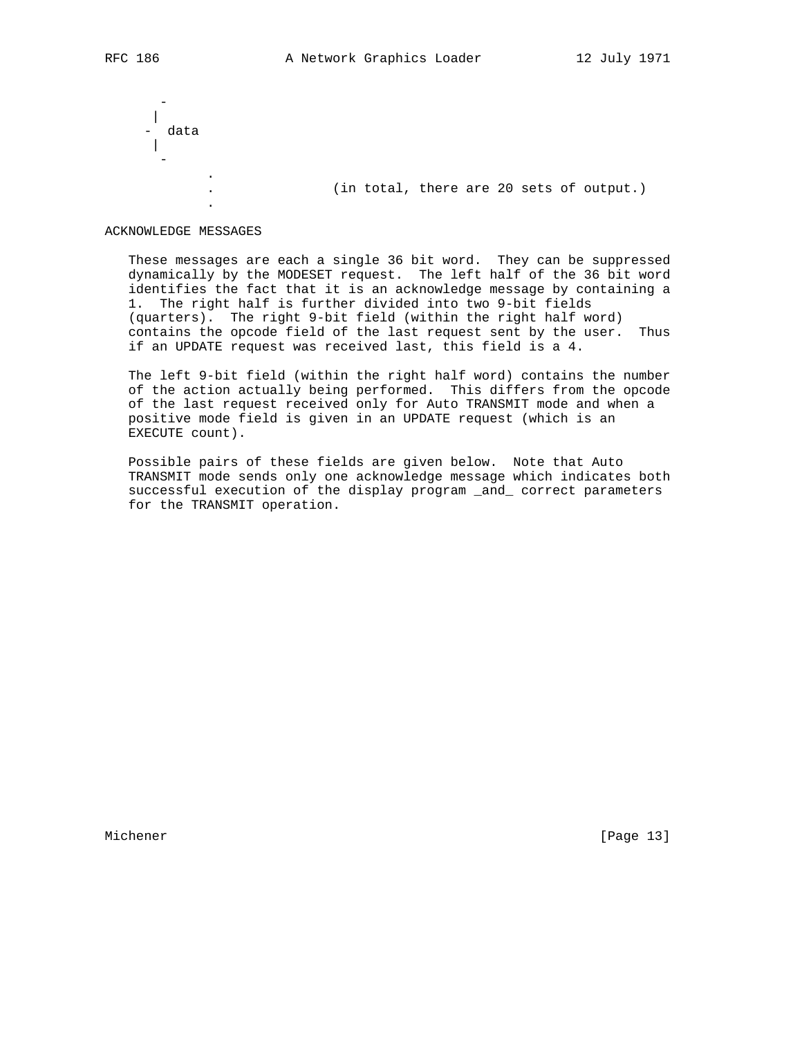- 1990 - 1990 - 1990 - 1990 - 1990 - 1990 - 1990 - 1990 - 1990 - 1990 - 1990 - 1990 - 1990 - 1990 - 1990 - 199 | data | - 1990 - 1990 - 1990 - 1990 - 1990 - 1990 - 1990 - 1990 - 1990 - 1990 - 1990 - 1990 - 1990 - 1990 - 1990 - 199 .

. (in total, there are 20 sets of output.)

#### ACKNOWLEDGE MESSAGES

.

 These messages are each a single 36 bit word. They can be suppressed dynamically by the MODESET request. The left half of the 36 bit word identifies the fact that it is an acknowledge message by containing a 1. The right half is further divided into two 9-bit fields (quarters). The right 9-bit field (within the right half word) contains the opcode field of the last request sent by the user. Thus if an UPDATE request was received last, this field is a 4.

 The left 9-bit field (within the right half word) contains the number of the action actually being performed. This differs from the opcode of the last request received only for Auto TRANSMIT mode and when a positive mode field is given in an UPDATE request (which is an EXECUTE count).

 Possible pairs of these fields are given below. Note that Auto TRANSMIT mode sends only one acknowledge message which indicates both successful execution of the display program \_and\_ correct parameters for the TRANSMIT operation.

Michener [Page 13]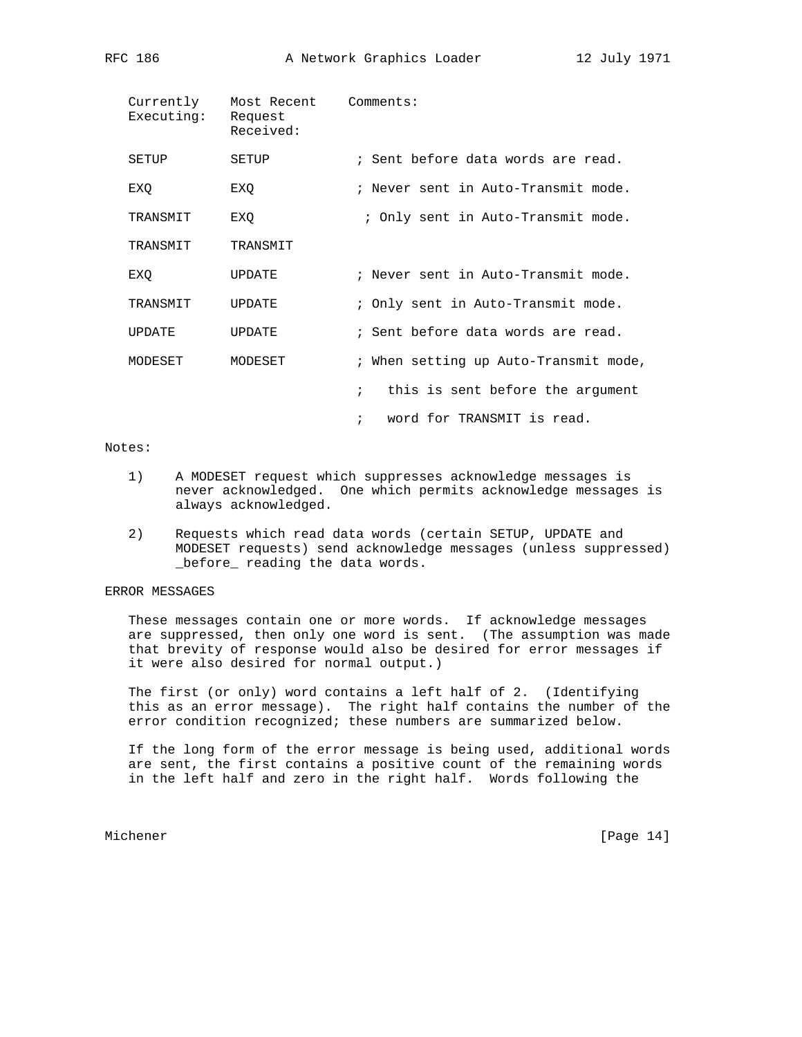| Currently<br>Executing: | Most Recent<br>Request<br>Received: | Comments:                                         |
|-------------------------|-------------------------------------|---------------------------------------------------|
| SETUP                   | SETUP                               | ; Sent before data words are read.                |
| EXO                     | EXO                                 | ; Never sent in Auto-Transmit mode.               |
| TRANSMIT                | EXQ                                 | ; Only sent in Auto-Transmit mode.                |
| TRANSMIT                | TRANSMIT                            |                                                   |
| EXO                     | <b>UPDATE</b>                       | ; Never sent in Auto-Transmit mode.               |
| TRANSMIT                | <b>UPDATE</b>                       | ; Only sent in Auto-Transmit mode.                |
| <b>UPDATE</b>           | <b>UPDATE</b>                       | ; Sent before data words are read.                |
| MODESET                 | MODESET                             | ; When setting up Auto-Transmit mode,             |
|                         |                                     | $\mathcal{L}$<br>this is sent before the argument |
|                         |                                     | word for TRANSMIT is read.<br>$\ddot{i}$          |

## Notes:

- 1) A MODESET request which suppresses acknowledge messages is never acknowledged. One which permits acknowledge messages is always acknowledged.
- 2) Requests which read data words (certain SETUP, UPDATE and MODESET requests) send acknowledge messages (unless suppressed) \_before\_ reading the data words.

# ERROR MESSAGES

 These messages contain one or more words. If acknowledge messages are suppressed, then only one word is sent. (The assumption was made that brevity of response would also be desired for error messages if it were also desired for normal output.)

 The first (or only) word contains a left half of 2. (Identifying this as an error message). The right half contains the number of the error condition recognized; these numbers are summarized below.

 If the long form of the error message is being used, additional words are sent, the first contains a positive count of the remaining words in the left half and zero in the right half. Words following the

Michener [Page 14]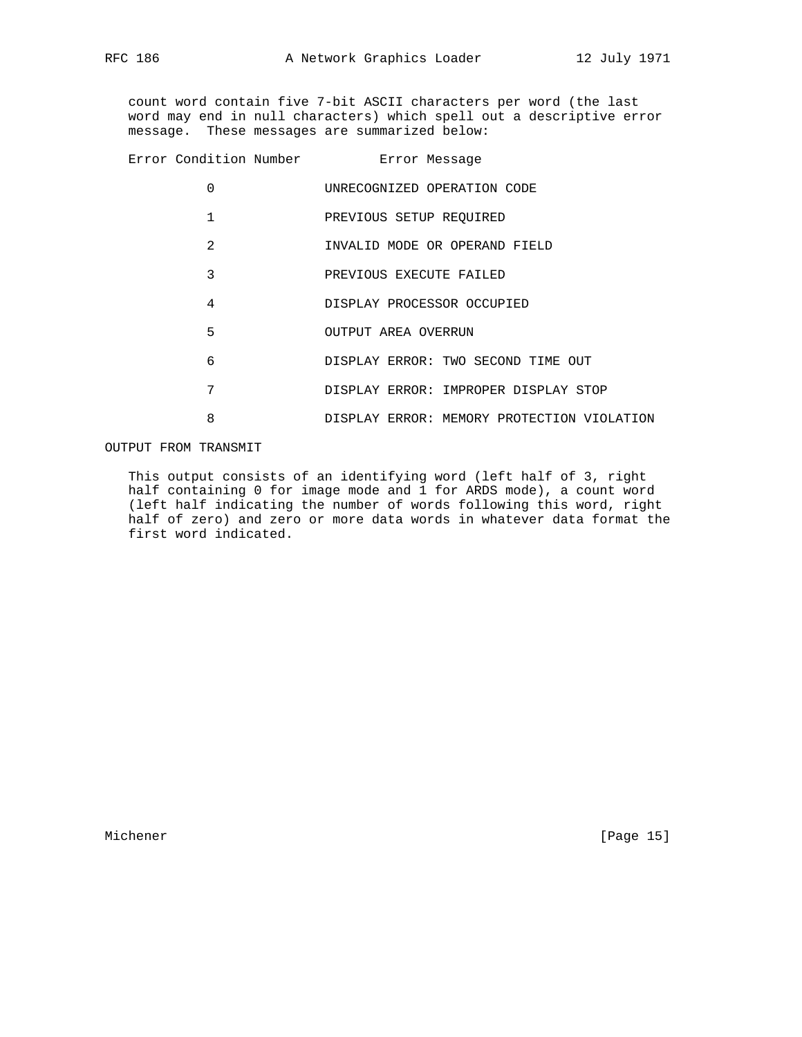count word contain five 7-bit ASCII characters per word (the last word may end in null characters) which spell out a descriptive error message. These messages are summarized below:

| Error Condition Number <b>Error Message</b> |                                            |
|---------------------------------------------|--------------------------------------------|
| 0                                           | UNRECOGNIZED OPERATION CODE                |
| 1                                           | PREVIOUS SETUP REQUIRED                    |
| $\mathfrak{D}$                              | INVALID MODE OR OPERAND FIELD              |
| 3                                           | PREVIOUS EXECUTE FAILED                    |
| $\overline{4}$                              | DISPLAY PROCESSOR OCCUPIED                 |
| 5                                           | OUTPUT AREA OVERRUN                        |
| 6                                           | DISPLAY ERROR: TWO SECOND TIME OUT         |
| 7                                           | DISPLAY ERROR: IMPROPER DISPLAY STOP       |
| 8                                           | DISPLAY ERROR: MEMORY PROTECTION VIOLATION |
|                                             |                                            |

OUTPUT FROM TRANSMIT

 This output consists of an identifying word (left half of 3, right half containing 0 for image mode and 1 for ARDS mode), a count word (left half indicating the number of words following this word, right half of zero) and zero or more data words in whatever data format the first word indicated.

Michener [Page 15]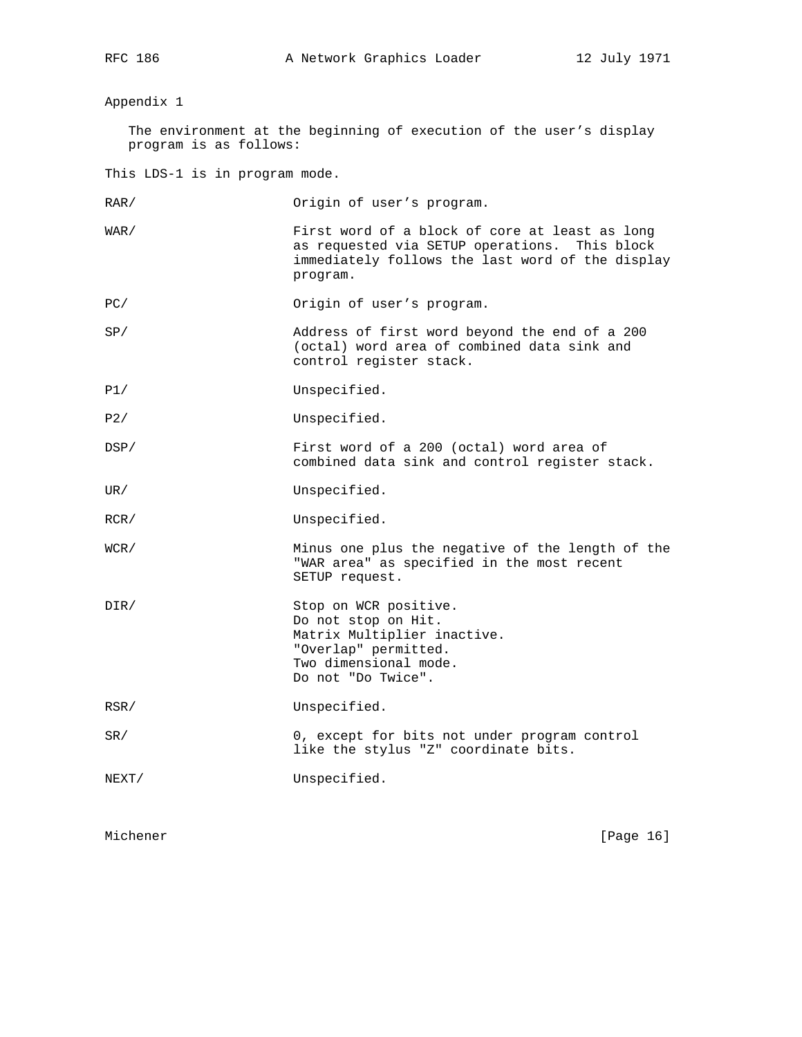## Appendix 1

 The environment at the beginning of execution of the user's display program is as follows:

This LDS-1 is in program mode.

RAR/ 0rigin of user's program.

- WAR/ First word of a block of core at least as long as requested via SETUP operations. This block immediately follows the last word of the display program.
- PC/ Origin of user's program.
- SP/ Address of first word beyond the end of a 200 (octal) word area of combined data sink and control register stack.
- P1/ Unspecified.
- P2/ Unspecified.
- DSP/ First word of a 200 (octal) word area of combined data sink and control register stack.
- UR/ Unspecified.
- RCR/ Unspecified.
- WCR/ Minus one plus the negative of the length of the "WAR area" as specified in the most recent SETUP request.
- DIR/ Stop on WCR positive. Do not stop on Hit. Matrix Multiplier inactive. "Overlap" permitted. Two dimensional mode. Do not "Do Twice".
- RSR/ Unspecified.
- SR/ 0, except for bits not under program control like the stylus "Z" coordinate bits.
- NEXT/ Unspecified.

Michener [Page 16]